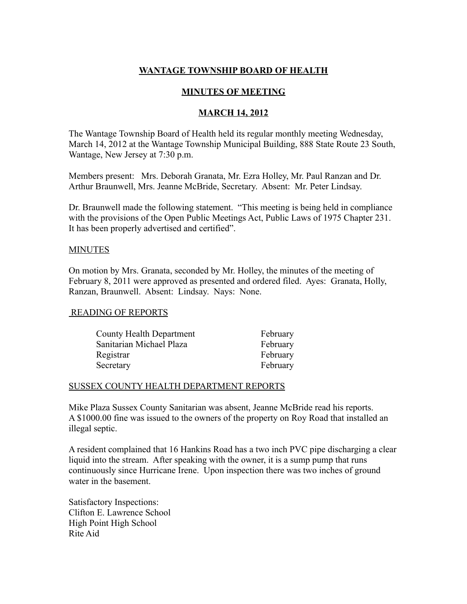# **WANTAGE TOWNSHIP BOARD OF HEALTH**

# **MINUTES OF MEETING**

## **MARCH 14, 2012**

The Wantage Township Board of Health held its regular monthly meeting Wednesday, March 14, 2012 at the Wantage Township Municipal Building, 888 State Route 23 South, Wantage, New Jersey at 7:30 p.m.

Members present: Mrs. Deborah Granata, Mr. Ezra Holley, Mr. Paul Ranzan and Dr. Arthur Braunwell, Mrs. Jeanne McBride, Secretary. Absent: Mr. Peter Lindsay.

Dr. Braunwell made the following statement. "This meeting is being held in compliance with the provisions of the Open Public Meetings Act, Public Laws of 1975 Chapter 231. It has been properly advertised and certified".

#### **MINUTES**

On motion by Mrs. Granata, seconded by Mr. Holley, the minutes of the meeting of February 8, 2011 were approved as presented and ordered filed. Ayes: Granata, Holly, Ranzan, Braunwell. Absent: Lindsay. Nays: None.

### READING OF REPORTS

| County Health Department | February |
|--------------------------|----------|
| Sanitarian Michael Plaza | February |
| Registrar                | February |
| Secretary                | February |

### SUSSEX COUNTY HEALTH DEPARTMENT REPORTS

Mike Plaza Sussex County Sanitarian was absent, Jeanne McBride read his reports. A \$1000.00 fine was issued to the owners of the property on Roy Road that installed an illegal septic.

A resident complained that 16 Hankins Road has a two inch PVC pipe discharging a clear liquid into the stream. After speaking with the owner, it is a sump pump that runs continuously since Hurricane Irene. Upon inspection there was two inches of ground water in the basement.

Satisfactory Inspections: Clifton E. Lawrence School High Point High School Rite Aid